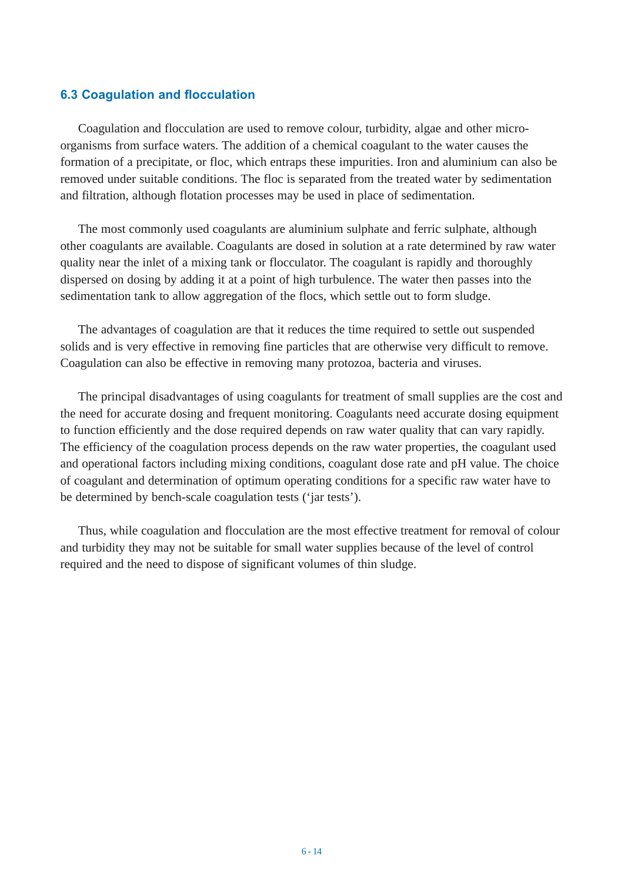## **6.3 Coagulation and flocculation**

Coagulation and flocculation are used to remove colour, turbidity, algae and other microorganisms from surface waters. The addition of a chemical coagulant to the water causes the formation of a precipitate, or floc, which entraps these impurities. Iron and aluminium can also be removed under suitable conditions. The floc is separated from the treated water by sedimentation and filtration, although flotation processes may be used in place of sedimentation.

The most commonly used coagulants are aluminium sulphate and ferric sulphate, although other coagulants are available. Coagulants are dosed in solution at a rate determined by raw water quality near the inlet of a mixing tank or flocculator. The coagulant is rapidly and thoroughly dispersed on dosing by adding it at a point of high turbulence. The water then passes into the sedimentation tank to allow aggregation of the flocs, which settle out to form sludge.

The advantages of coagulation are that it reduces the time required to settle out suspended solids and is very effective in removing fine particles that are otherwise very difficult to remove. Coagulation can also be effective in removing many protozoa, bacteria and viruses.

The principal disadvantages of using coagulants for treatment of small supplies are the cost and the need for accurate dosing and frequent monitoring. Coagulants need accurate dosing equipment to function efficiently and the dose required depends on raw water quality that can vary rapidly. The efficiency of the coagulation process depends on the raw water properties, the coagulant used and operational factors including mixing conditions, coagulant dose rate and pH value. The choice of coagulant and determination of optimum operating conditions for a specific raw water have to be determined by bench-scale coagulation tests ('jar tests').

Thus, while coagulation and flocculation are the most effective treatment for removal of colour and turbidity they may not be suitable for small water supplies because of the level of control required and the need to dispose of significant volumes of thin sludge.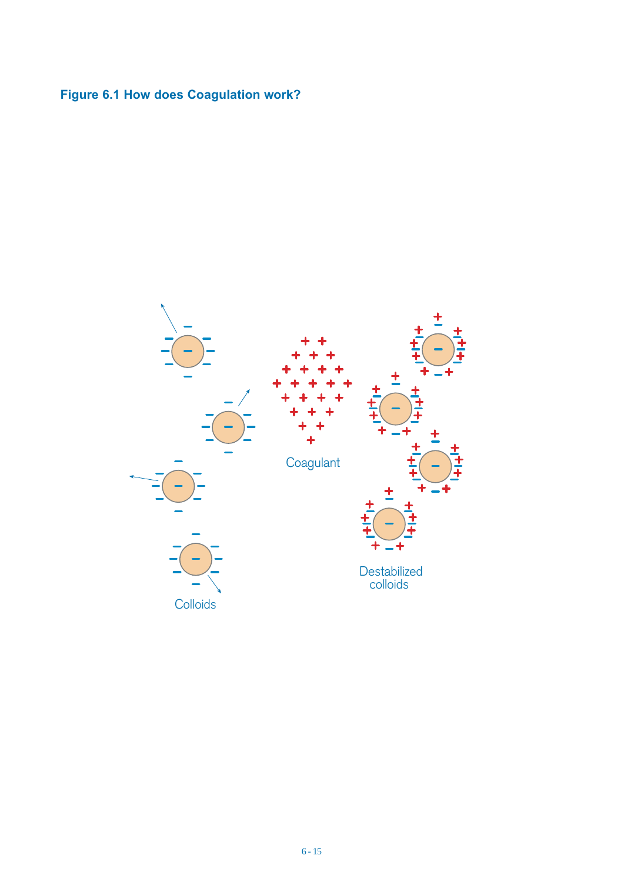## **Figure 6.1 How does Coagulation work?**